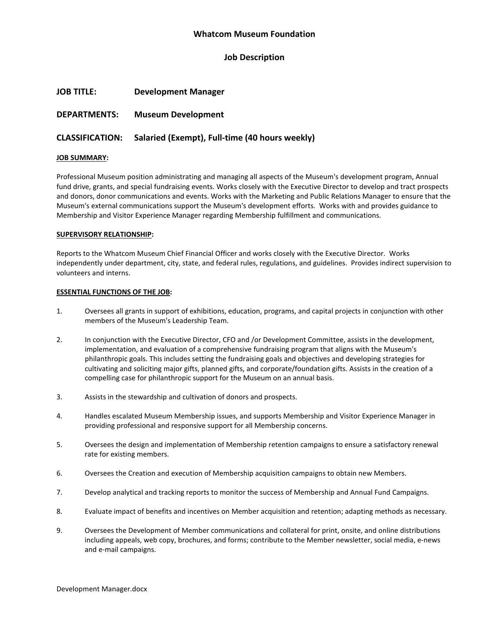### **Whatcom Museum Foundation**

### **Job Description**

| <b>JOB TITLE:</b> | <b>Development Manager</b> |
|-------------------|----------------------------|
|-------------------|----------------------------|

## **DEPARTMENTS: Museum Development**

# **CLASSIFICATION: Salaried (Exempt), Full-time (40 hours weekly)**

#### **JOB SUMMARY:**

Professional Museum position administrating and managing all aspects of the Museum's development program, Annual fund drive, grants, and special fundraising events. Works closely with the Executive Director to develop and tract prospects and donors, donor communications and events. Works with the Marketing and Public Relations Manager to ensure that the Museum's external communications support the Museum's development efforts. Works with and provides guidance to Membership and Visitor Experience Manager regarding Membership fulfillment and communications.

#### **SUPERVISORY RELATIONSHIP:**

Reports to the Whatcom Museum Chief Financial Officer and works closely with the Executive Director. Works independently under department, city, state, and federal rules, regulations, and guidelines. Provides indirect supervision to volunteers and interns.

#### **ESSENTIAL FUNCTIONS OF THE JOB:**

- 1. Oversees all grants in support of exhibitions, education, programs, and capital projects in conjunction with other members of the Museum's Leadership Team.
- 2. In conjunction with the Executive Director, CFO and /or Development Committee, assists in the development, implementation, and evaluation of a comprehensive fundraising program that aligns with the Museum's philanthropic goals. This includes setting the fundraising goals and objectives and developing strategies for cultivating and soliciting major gifts, planned gifts, and corporate/foundation gifts. Assists in the creation of a compelling case for philanthropic support for the Museum on an annual basis.
- 3. Assists in the stewardship and cultivation of donors and prospects.
- 4. Handles escalated Museum Membership issues, and supports Membership and Visitor Experience Manager in providing professional and responsive support for all Membership concerns.
- 5. Oversees the design and implementation of Membership retention campaigns to ensure a satisfactory renewal rate for existing members.
- 6. Oversees the Creation and execution of Membership acquisition campaigns to obtain new Members.
- 7. Develop analytical and tracking reports to monitor the success of Membership and Annual Fund Campaigns.
- 8. Evaluate impact of benefits and incentives on Member acquisition and retention; adapting methods as necessary.
- 9. Oversees the Development of Member communications and collateral for print, onsite, and online distributions including appeals, web copy, brochures, and forms; contribute to the Member newsletter, social media, e-news and e-mail campaigns.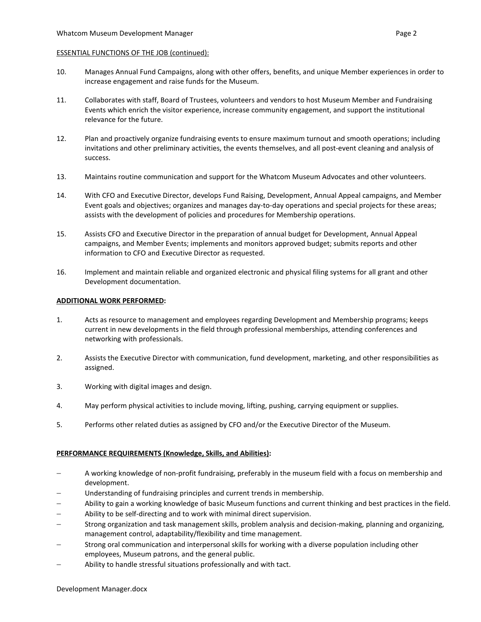#### ESSENTIAL FUNCTIONS OF THE JOB (continued):

- 10. Manages Annual Fund Campaigns, along with other offers, benefits, and unique Member experiences in order to increase engagement and raise funds for the Museum.
- 11. Collaborates with staff, Board of Trustees, volunteers and vendors to host Museum Member and Fundraising Events which enrich the visitor experience, increase community engagement, and support the institutional relevance for the future.
- 12. Plan and proactively organize fundraising events to ensure maximum turnout and smooth operations; including invitations and other preliminary activities, the events themselves, and all post-event cleaning and analysis of success.
- 13. Maintains routine communication and support for the Whatcom Museum Advocates and other volunteers.
- 14. With CFO and Executive Director, develops Fund Raising, Development, Annual Appeal campaigns, and Member Event goals and objectives; organizes and manages day-to-day operations and special projects for these areas; assists with the development of policies and procedures for Membership operations.
- 15. Assists CFO and Executive Director in the preparation of annual budget for Development, Annual Appeal campaigns, and Member Events; implements and monitors approved budget; submits reports and other information to CFO and Executive Director as requested.
- 16. Implement and maintain reliable and organized electronic and physical filing systems for all grant and other Development documentation.

#### **ADDITIONAL WORK PERFORMED:**

- 1. Acts as resource to management and employees regarding Development and Membership programs; keeps current in new developments in the field through professional memberships, attending conferences and networking with professionals.
- 2. Assists the Executive Director with communication, fund development, marketing, and other responsibilities as assigned.
- 3. Working with digital images and design.
- 4. May perform physical activities to include moving, lifting, pushing, carrying equipment or supplies.
- 5. Performs other related duties as assigned by CFO and/or the Executive Director of the Museum.

### **PERFORMANCE REQUIREMENTS (Knowledge, Skills, and Abilities):**

- − A working knowledge of non-profit fundraising, preferably in the museum field with a focus on membership and development.
- Understanding of fundraising principles and current trends in membership.
- − Ability to gain a working knowledge of basic Museum functions and current thinking and best practices in the field.
- Ability to be self-directing and to work with minimal direct supervision.
- − Strong organization and task management skills, problem analysis and decision-making, planning and organizing, management control, adaptability/flexibility and time management.
- Strong oral communication and interpersonal skills for working with a diverse population including other employees, Museum patrons, and the general public.
- Ability to handle stressful situations professionally and with tact.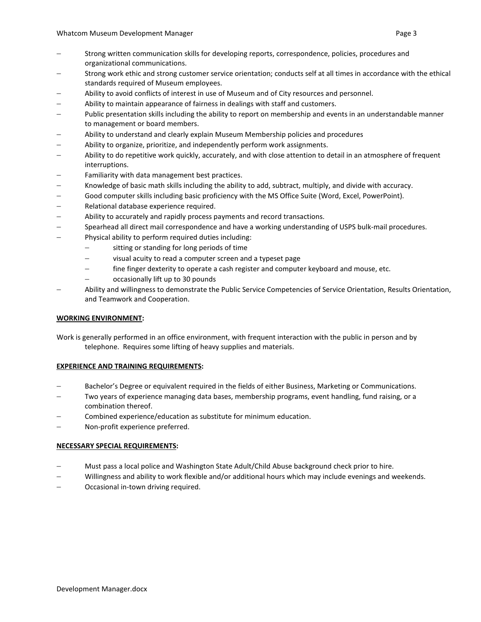- Strong work ethic and strong customer service orientation; conducts self at all times in accordance with the ethical standards required of Museum employees.
- − Ability to avoid conflicts of interest in use of Museum and of City resources and personnel.
- Ability to maintain appearance of fairness in dealings with staff and customers.
- − Public presentation skills including the ability to report on membership and events in an understandable manner to management or board members.
- − Ability to understand and clearly explain Museum Membership policies and procedures
- − Ability to organize, prioritize, and independently perform work assignments.
- − Ability to do repetitive work quickly, accurately, and with close attention to detail in an atmosphere of frequent interruptions.
- − Familiarity with data management best practices.
- − Knowledge of basic math skills including the ability to add, subtract, multiply, and divide with accuracy.
- − Good computer skills including basic proficiency with the MS Office Suite (Word, Excel, PowerPoint).
- − Relational database experience required.
- − Ability to accurately and rapidly process payments and record transactions.
- − Spearhead all direct mail correspondence and have a working understanding of USPS bulk-mail procedures.
- Physical ability to perform required duties including:
	- sitting or standing for long periods of time
	- − visual acuity to read a computer screen and a typeset page
	- − fine finger dexterity to operate a cash register and computer keyboard and mouse, etc.
	- − occasionally lift up to 30 pounds
- − Ability and willingness to demonstrate the Public Service Competencies of Service Orientation, Results Orientation, and Teamwork and Cooperation.

### **WORKING ENVIRONMENT:**

Work is generally performed in an office environment, with frequent interaction with the public in person and by telephone. Requires some lifting of heavy supplies and materials.

### **EXPERIENCE AND TRAINING REQUIREMENTS:**

- Bachelor's Degree or equivalent required in the fields of either Business, Marketing or Communications.
- Two years of experience managing data bases, membership programs, event handling, fund raising, or a combination thereof.
- − Combined experience/education as substitute for minimum education.
- Non-profit experience preferred.

### **NECESSARY SPECIAL REQUIREMENTS:**

- − Must pass a local police and Washington State Adult/Child Abuse background check prior to hire.
- − Willingness and ability to work flexible and/or additional hours which may include evenings and weekends.
- − Occasional in-town driving required.